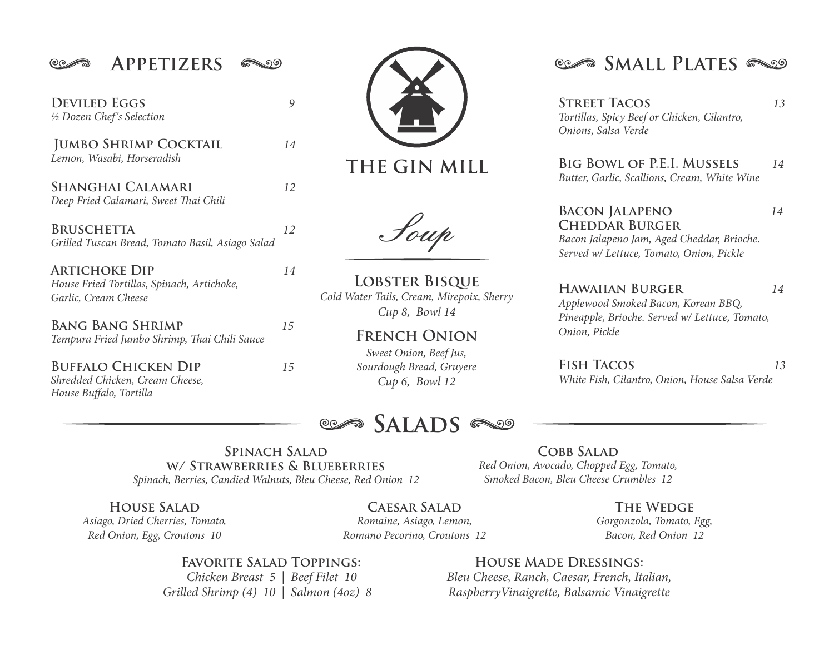$@{\circ} \quad \circ \quad \bullet$ 

*½ Dozen Chef's Selection* **DEVILED EGGS** 9

*Lemon, Wasabi, Horseradish .***Jumbo Shrimp Cocktail** *14*

**Deep Fried Calamari, Sweet Thai Chili Shanghai Calamari** *12*

*Grilled Tuscan Bread, Tomato Basil, Asiago Salad*  **Bruschetta** *12* 

*House Fried Tortillas, Spinach, Artichoke, Garlic, Cream Cheese* **Artichoke Dip** *14*

**Tempura Fried Jumbo Shrimp, Thai Chili Sauce Bang Bang Shrimp** *15*

**BUFFALO CHICKEN DIP** 15 *House Buffalo, Tortilla Shredded Chicken, Cream Cheese,*

THE GIN MILL

Soup

**Lobster Bisque** *Cold Water Tails, Cream, Mirepoix, Sherry Cup 8, Bowl 14*

> **French Onion** *Sweet Onion, Beef Jus, Sourdough Bread, Gruyere Cup 6, Bowl 12*

## **SALADS**

APPETIZERS  $\infty$  **SMALL PLATES** 

**Street Tacos** *13 Tortillas, Spicy Beef or Chicken, Cilantro, Onions, Salsa Verde*

**Big Bowl of P.E.I. Mussels** *14 Butter, Garlic, Scallions, Cream, White Wine*

**Bacon Jalapeno** *14* **Cheddar Burger** *Bacon Jalapeno Jam, Aged Cheddar, Brioche. Served w/ Lettuce, Tomato, Onion, Pickle*

*Applewood Smoked Bacon, Korean BBQ, Pineapple, Brioche. Served w/ Lettuce, Tomato, Onion, Pickle*  **Hawaiian Burger** *14*

*White Fish, Cilantro, Onion, House Salsa Verde* **Fish Tacos** *13*

**Spinach Salad w/ Strawberries & Blueberries** *Spinach, Berries, Candied Walnuts, Bleu Cheese, Red Onion 12*

**COBB SALAD** *Red Onion, Avocado, Chopped Egg, Tomato, Smoked Bacon, Bleu Cheese Crumbles 12*

**Caesar Salad House Salad The Wedge** *Asiago, Dried Cherries, Tomato, Red Onion, Egg, Croutons 10*

*Romaine, Asiago, Lemon, Romano Pecorino, Croutons 12* *Gorgonzola, Tomato, Egg, Bacon, Red Onion 12*

**FAVORITE SALAD TOPPINGS:** 

 *Chicken Breast 5 | Beef Filet 10 Grilled Shrimp (4) 10 | Salmon (4oz) 8* 

#### **House Made Dressings:**

*Bleu Cheese, Ranch, Caesar, French, Italian, RaspberryVinaigrette, Balsamic Vinaigrette*